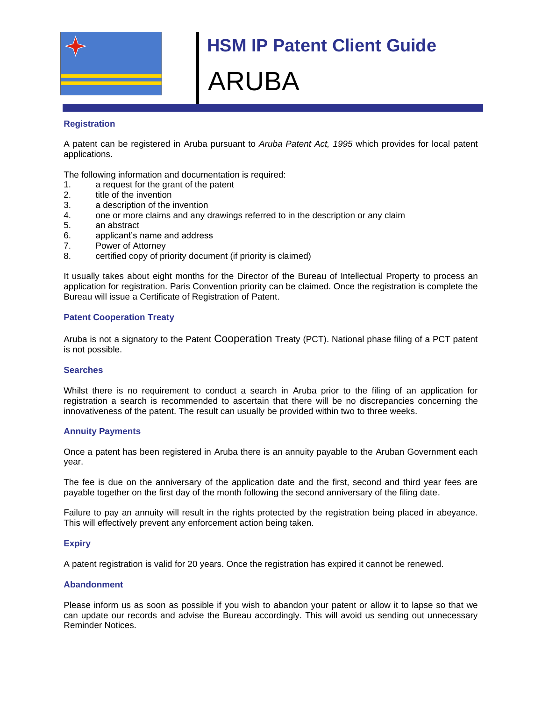

# **HSM IP Patent Client Guide** ARUBA

## **Registration**

A patent can be registered in Aruba pursuant to *Aruba Patent Act, 1995* which provides for local patent applications.

The following information and documentation is required:

- 1. a request for the grant of the patent
- 2. title of the invention
- 3. a description of the invention
- 4. one or more claims and any drawings referred to in the description or any claim
- 5. an abstract
- 6. applicant's name and address
- 7. Power of Attorney
- 8. certified copy of priority document (if priority is claimed)

It usually takes about eight months for the Director of the Bureau of Intellectual Property to process an application for registration. Paris Convention priority can be claimed. Once the registration is complete the Bureau will issue a Certificate of Registration of Patent.

## **Patent Cooperation Treaty**

Aruba is not a signatory to the Patent Cooperation Treaty (PCT). National phase filing of a PCT patent is not possible.

## **Searches**

Whilst there is no requirement to conduct a search in Aruba prior to the filing of an application for registration a search is recommended to ascertain that there will be no discrepancies concerning the innovativeness of the patent. The result can usually be provided within two to three weeks.

#### **Annuity Payments**

Once a patent has been registered in Aruba there is an annuity payable to the Aruban Government each year.

The fee is due on the anniversary of the application date and the first, second and third year fees are payable together on the first day of the month following the second anniversary of the filing date.

Failure to pay an annuity will result in the rights protected by the registration being placed in abeyance. This will effectively prevent any enforcement action being taken.

## **Expiry**

A patent registration is valid for 20 years. Once the registration has expired it cannot be renewed.

#### **Abandonment**

Please inform us as soon as possible if you wish to abandon your patent or allow it to lapse so that we can update our records and advise the Bureau accordingly. This will avoid us sending out unnecessary Reminder Notices.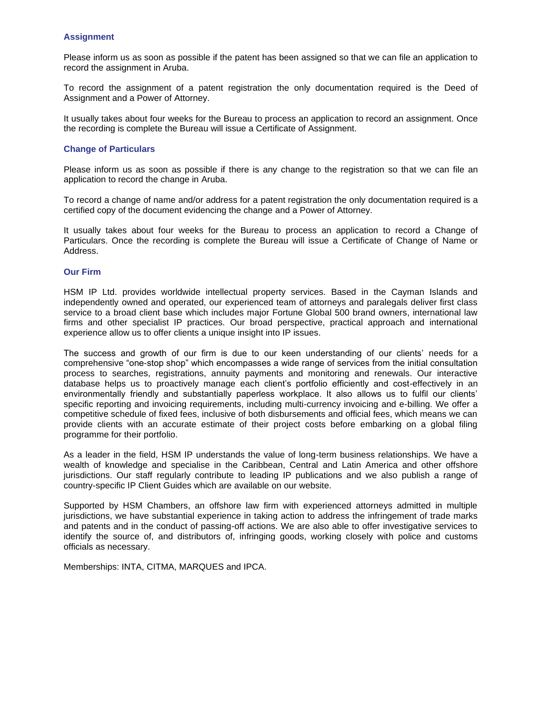## **Assignment**

Please inform us as soon as possible if the patent has been assigned so that we can file an application to record the assignment in Aruba.

To record the assignment of a patent registration the only documentation required is the Deed of Assignment and a Power of Attorney.

It usually takes about four weeks for the Bureau to process an application to record an assignment. Once the recording is complete the Bureau will issue a Certificate of Assignment.

## **Change of Particulars**

Please inform us as soon as possible if there is any change to the registration so that we can file an application to record the change in Aruba.

To record a change of name and/or address for a patent registration the only documentation required is a certified copy of the document evidencing the change and a Power of Attorney.

It usually takes about four weeks for the Bureau to process an application to record a Change of Particulars. Once the recording is complete the Bureau will issue a Certificate of Change of Name or Address.

## **Our Firm**

HSM IP Ltd. provides worldwide intellectual property services. Based in the Cayman Islands and independently owned and operated, our experienced team of attorneys and paralegals deliver first class service to a broad client base which includes major Fortune Global 500 brand owners, international law firms and other specialist IP practices. Our broad perspective, practical approach and international experience allow us to offer clients a unique insight into IP issues.

The success and growth of our firm is due to our keen understanding of our clients' needs for a comprehensive "one-stop shop" which encompasses a wide range of services from the initial consultation process to searches, registrations, annuity payments and monitoring and renewals. Our interactive database helps us to proactively manage each client's portfolio efficiently and cost-effectively in an environmentally friendly and substantially paperless workplace. It also allows us to fulfil our clients' specific reporting and invoicing requirements, including multi-currency invoicing and e-billing. We offer a competitive schedule of fixed fees, inclusive of both disbursements and official fees, which means we can provide clients with an accurate estimate of their project costs before embarking on a global filing programme for their portfolio.

As a leader in the field, HSM IP understands the value of long-term business relationships. We have a wealth of knowledge and specialise in the Caribbean, Central and Latin America and other offshore jurisdictions. Our staff regularly contribute to leading IP publications and we also publish a range of country-specific IP Client Guides which are available on our website.

Supported by HSM Chambers, an offshore law firm with experienced attorneys admitted in multiple jurisdictions, we have substantial experience in taking action to address the infringement of trade marks and patents and in the conduct of passing-off actions. We are also able to offer investigative services to identify the source of, and distributors of, infringing goods, working closely with police and customs officials as necessary.

Memberships: INTA, CITMA, MARQUES and IPCA.